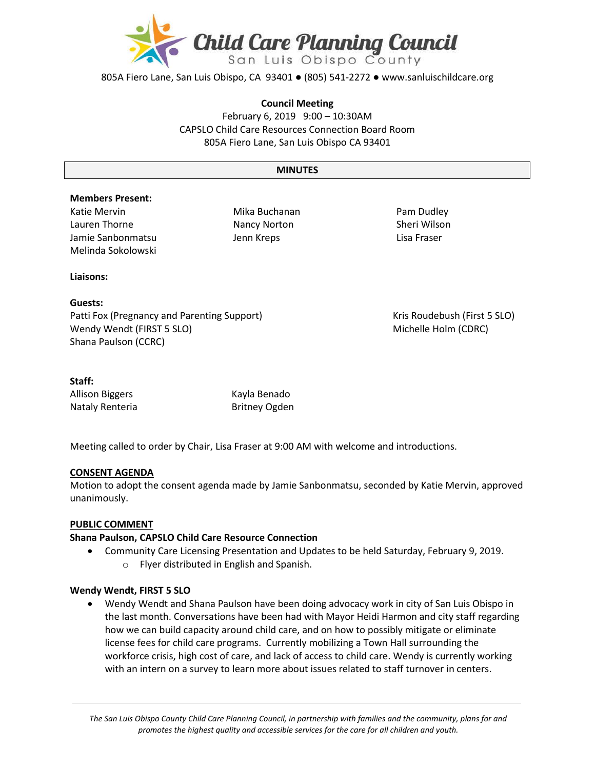

805A Fiero Lane, San Luis Obispo, CA 93401 ● (805) 541-2272 ● www.sanluischildcare.org

#### **Council Meeting**

February 6, 2019 9:00 – 10:30AM CAPSLO Child Care Resources Connection Board Room 805A Fiero Lane, San Luis Obispo CA 93401

#### **MINUTES**

#### **Members Present:**

Katie Mervin Lauren Thorne Jamie Sanbonmatsu Melinda Sokolowski

Mika Buchanan Nancy Norton Jenn Kreps

Pam Dudley Sheri Wilson Lisa Fraser

#### **Liaisons:**

**Guests:** Patti Fox (Pregnancy and Parenting Support) Kris Roudebush (First 5 SLO) Wendy Wendt (FIRST 5 SLO) Michelle Holm (CDRC) Shana Paulson (CCRC)

**Staff:**

Allison Biggers **Kayla Benado** Nataly Renteria **Britney Ogden** 

Meeting called to order by Chair, Lisa Fraser at 9:00 AM with welcome and introductions.

### **CONSENT AGENDA**

Motion to adopt the consent agenda made by Jamie Sanbonmatsu, seconded by Katie Mervin, approved unanimously.

#### **PUBLIC COMMENT**

#### **Shana Paulson, CAPSLO Child Care Resource Connection**

 Community Care Licensing Presentation and Updates to be held Saturday, February 9, 2019. o Flyer distributed in English and Spanish.

#### **Wendy Wendt, FIRST 5 SLO**

 Wendy Wendt and Shana Paulson have been doing advocacy work in city of San Luis Obispo in the last month. Conversations have been had with Mayor Heidi Harmon and city staff regarding how we can build capacity around child care, and on how to possibly mitigate or eliminate license fees for child care programs. Currently mobilizing a Town Hall surrounding the workforce crisis, high cost of care, and lack of access to child care. Wendy is currently working with an intern on a survey to learn more about issues related to staff turnover in centers.

*The San Luis Obispo County Child Care Planning Council, in partnership with families and the community, plans for and promotes the highest quality and accessible services for the care for all children and youth.*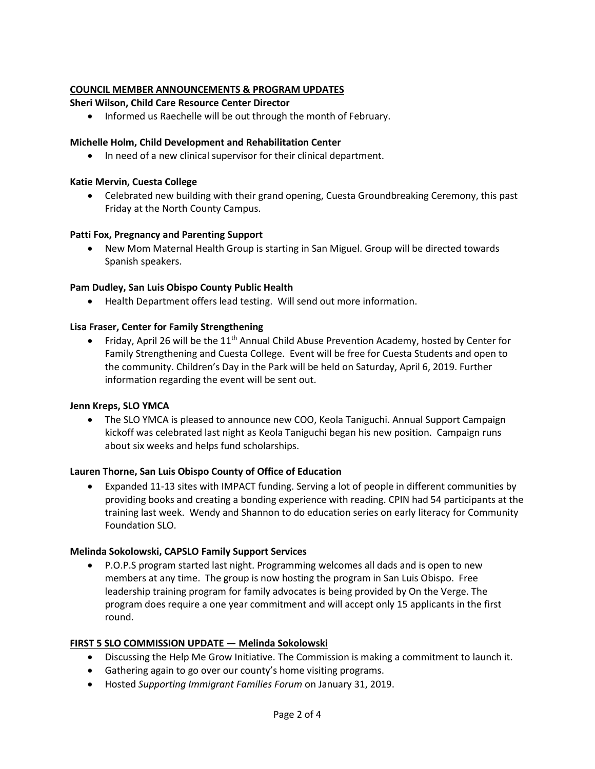## **COUNCIL MEMBER ANNOUNCEMENTS & PROGRAM UPDATES**

## **Sheri Wilson, Child Care Resource Center Director**

• Informed us Raechelle will be out through the month of February.

## **Michelle Holm, Child Development and Rehabilitation Center**

• In need of a new clinical supervisor for their clinical department.

### **Katie Mervin, Cuesta College**

 Celebrated new building with their grand opening, Cuesta Groundbreaking Ceremony, this past Friday at the North County Campus.

### **Patti Fox, Pregnancy and Parenting Support**

 New Mom Maternal Health Group is starting in San Miguel. Group will be directed towards Spanish speakers.

### **Pam Dudley, San Luis Obispo County Public Health**

Health Department offers lead testing. Will send out more information.

### **Lisa Fraser, Center for Family Strengthening**

• Friday, April 26 will be the 11<sup>th</sup> Annual Child Abuse Prevention Academy, hosted by Center for Family Strengthening and Cuesta College. Event will be free for Cuesta Students and open to the community. Children's Day in the Park will be held on Saturday, April 6, 2019. Further information regarding the event will be sent out.

#### **Jenn Kreps, SLO YMCA**

• The SLO YMCA is pleased to announce new COO, Keola Taniguchi. Annual Support Campaign kickoff was celebrated last night as Keola Taniguchi began his new position. Campaign runs about six weeks and helps fund scholarships.

### **Lauren Thorne, San Luis Obispo County of Office of Education**

 Expanded 11-13 sites with IMPACT funding. Serving a lot of people in different communities by providing books and creating a bonding experience with reading. CPIN had 54 participants at the training last week. Wendy and Shannon to do education series on early literacy for Community Foundation SLO.

### **Melinda Sokolowski, CAPSLO Family Support Services**

 P.O.P.S program started last night. Programming welcomes all dads and is open to new members at any time. The group is now hosting the program in San Luis Obispo. Free leadership training program for family advocates is being provided by On the Verge. The program does require a one year commitment and will accept only 15 applicants in the first round.

### **FIRST 5 SLO COMMISSION UPDATE — Melinda Sokolowski**

- Discussing the Help Me Grow Initiative. The Commission is making a commitment to launch it.
- Gathering again to go over our county's home visiting programs.
- Hosted *Supporting Immigrant Families Forum* on January 31, 2019.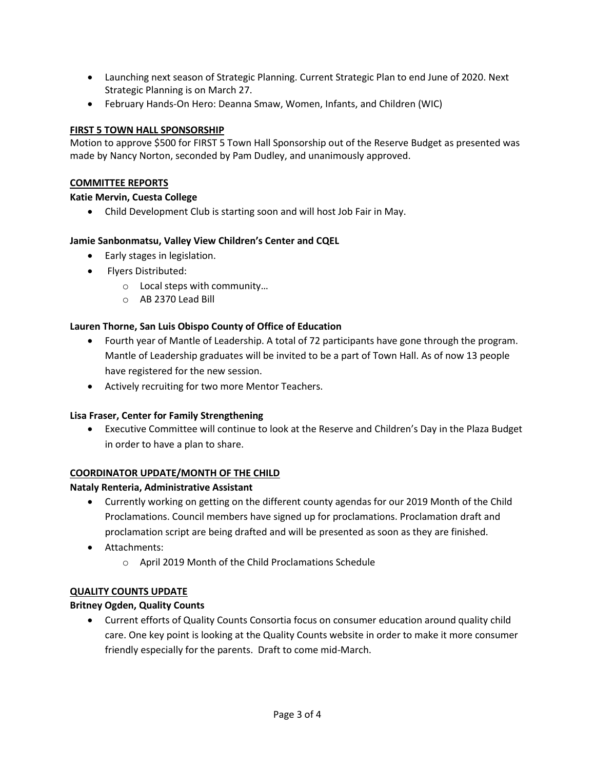- Launching next season of Strategic Planning. Current Strategic Plan to end June of 2020. Next Strategic Planning is on March 27.
- February Hands-On Hero: Deanna Smaw, Women, Infants, and Children (WIC)

## **FIRST 5 TOWN HALL SPONSORSHIP**

Motion to approve \$500 for FIRST 5 Town Hall Sponsorship out of the Reserve Budget as presented was made by Nancy Norton, seconded by Pam Dudley, and unanimously approved.

## **COMMITTEE REPORTS**

## **Katie Mervin, Cuesta College**

Child Development Club is starting soon and will host Job Fair in May.

## **Jamie Sanbonmatsu, Valley View Children's Center and CQEL**

- Early stages in legislation.
- Flyers Distributed:
	- o Local steps with community…
	- o AB 2370 Lead Bill

# **Lauren Thorne, San Luis Obispo County of Office of Education**

- Fourth year of Mantle of Leadership. A total of 72 participants have gone through the program. Mantle of Leadership graduates will be invited to be a part of Town Hall. As of now 13 people have registered for the new session.
- Actively recruiting for two more Mentor Teachers.

# **Lisa Fraser, Center for Family Strengthening**

 Executive Committee will continue to look at the Reserve and Children's Day in the Plaza Budget in order to have a plan to share.

### **COORDINATOR UPDATE/MONTH OF THE CHILD**

# **Nataly Renteria, Administrative Assistant**

- Currently working on getting on the different county agendas for our 2019 Month of the Child Proclamations. Council members have signed up for proclamations. Proclamation draft and proclamation script are being drafted and will be presented as soon as they are finished.
- Attachments:
	- o April 2019 Month of the Child Proclamations Schedule

### **QUALITY COUNTS UPDATE**

# **Britney Ogden, Quality Counts**

 Current efforts of Quality Counts Consortia focus on consumer education around quality child care. One key point is looking at the Quality Counts website in order to make it more consumer friendly especially for the parents. Draft to come mid-March.